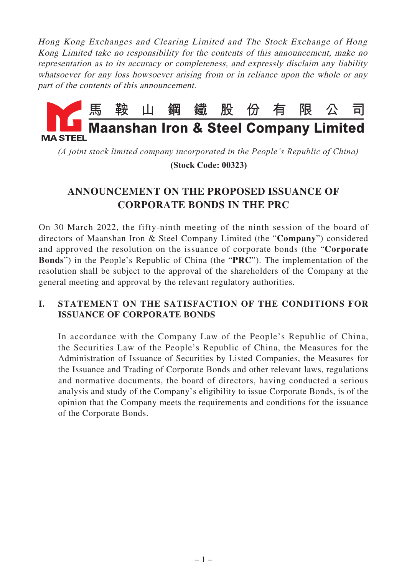Hong Kong Exchanges and Clearing Limited and The Stock Exchange of Hong Kong Limited take no responsibility for the contents of this announcement, make no representation as to its accuracy or completeness, and expressly disclaim any liability whatsoever for any loss howsoever arising from or in reliance upon the whole or any part of the contents of this announcement.



*(A joint stock limited company incorporated in the People's Republic of China)*

 **(Stock Code: 00323)**

# **ANNOUNCEMENT ON THE PROPOSED ISSUANCE OF CORPORATE BONDS IN THE PRC**

On 30 March 2022, the fifty-ninth meeting of the ninth session of the board of directors of Maanshan Iron & Steel Company Limited (the "**Company**") considered and approved the resolution on the issuance of corporate bonds (the "**Corporate Bonds**") in the People's Republic of China (the "**PRC**"). The implementation of the resolution shall be subject to the approval of the shareholders of the Company at the general meeting and approval by the relevant regulatory authorities.

# **I. STATEMENT ON THE SATISFACTION OF THE CONDITIONS FOR ISSUANCE OF CORPORATE BONDS**

In accordance with the Company Law of the People's Republic of China, the Securities Law of the People's Republic of China, the Measures for the Administration of Issuance of Securities by Listed Companies, the Measures for the Issuance and Trading of Corporate Bonds and other relevant laws, regulations and normative documents, the board of directors, having conducted a serious analysis and study of the Company's eligibility to issue Corporate Bonds, is of the opinion that the Company meets the requirements and conditions for the issuance of the Corporate Bonds.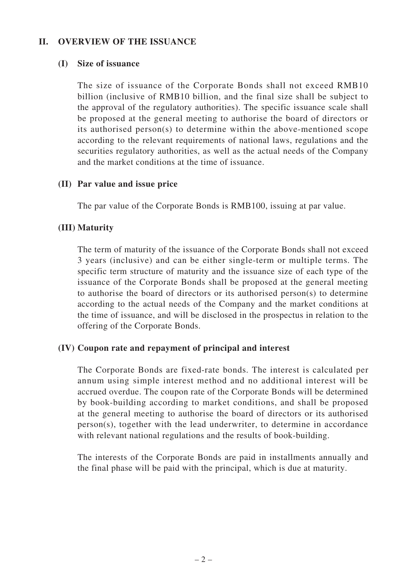#### **II. OVERVIEW OF THE ISSUANCE**

#### **(I) Size of issuance**

The size of issuance of the Corporate Bonds shall not exceed RMB10 billion (inclusive of RMB10 billion, and the final size shall be subject to the approval of the regulatory authorities). The specific issuance scale shall be proposed at the general meeting to authorise the board of directors or its authorised person(s) to determine within the above-mentioned scope according to the relevant requirements of national laws, regulations and the securities regulatory authorities, as well as the actual needs of the Company and the market conditions at the time of issuance.

#### **(II) Par value and issue price**

The par value of the Corporate Bonds is RMB100, issuing at par value.

# **(III) Maturity**

The term of maturity of the issuance of the Corporate Bonds shall not exceed 3 years (inclusive) and can be either single-term or multiple terms. The specific term structure of maturity and the issuance size of each type of the issuance of the Corporate Bonds shall be proposed at the general meeting to authorise the board of directors or its authorised person(s) to determine according to the actual needs of the Company and the market conditions at the time of issuance, and will be disclosed in the prospectus in relation to the offering of the Corporate Bonds.

#### **(IV) Coupon rate and repayment of principal and interest**

The Corporate Bonds are fixed-rate bonds. The interest is calculated per annum using simple interest method and no additional interest will be accrued overdue. The coupon rate of the Corporate Bonds will be determined by book-building according to market conditions, and shall be proposed at the general meeting to authorise the board of directors or its authorised person(s), together with the lead underwriter, to determine in accordance with relevant national regulations and the results of book-building.

The interests of the Corporate Bonds are paid in installments annually and the final phase will be paid with the principal, which is due at maturity.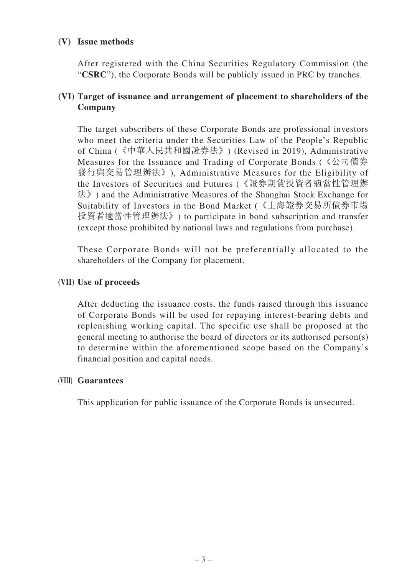### **(V) Issue methods**

After registered with the China Securities Regulatory Commission (the "**CSRC**"), the Corporate Bonds will be publicly issued in PRC by tranches.

# **(VI) Target of issuance and arrangement of placement to shareholders of the Company**

The target subscribers of these Corporate Bonds are professional investors who meet the criteria under the Securities Law of the People's Republic of China (《中華人民共和國證券法》) (Revised in 2019), Administrative Measures for the Issuance and Trading of Corporate Bonds (《公司債券 發行與交易管理辦法》), Administrative Measures for the Eligibility of the Investors of Securities and Futures (《證券期貨投資者適當性管理辦 法》) and the Administrative Measures of the Shanghai Stock Exchange for Suitability of Investors in the Bond Market (《上海證券交易所債券市場 投資者適當性管理辦法》) to participate in bond subscription and transfer (except those prohibited by national laws and regulations from purchase).

These Corporate Bonds will not be preferentially allocated to the shareholders of the Company for placement.

# **(VII) Use of proceeds**

After deducting the issuance costs, the funds raised through this issuance of Corporate Bonds will be used for repaying interest-bearing debts and replenishing working capital. The specific use shall be proposed at the general meeting to authorise the board of directors or its authorised person(s) to determine within the aforementioned scope based on the Company's financial position and capital needs.

#### **(VIII) Guarantees**

This application for public issuance of the Corporate Bonds is unsecured.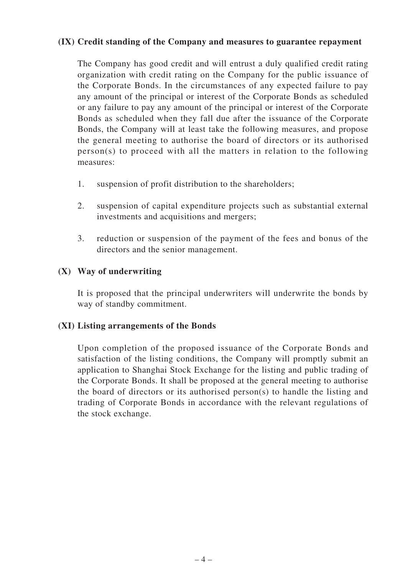#### **(IX) Credit standing of the Company and measures to guarantee repayment**

The Company has good credit and will entrust a duly qualified credit rating organization with credit rating on the Company for the public issuance of the Corporate Bonds. In the circumstances of any expected failure to pay any amount of the principal or interest of the Corporate Bonds as scheduled or any failure to pay any amount of the principal or interest of the Corporate Bonds as scheduled when they fall due after the issuance of the Corporate Bonds, the Company will at least take the following measures, and propose the general meeting to authorise the board of directors or its authorised person(s) to proceed with all the matters in relation to the following measures:

- 1. suspension of profit distribution to the shareholders;
- 2. suspension of capital expenditure projects such as substantial external investments and acquisitions and mergers;
- 3. reduction or suspension of the payment of the fees and bonus of the directors and the senior management.

#### **(X) Way of underwriting**

It is proposed that the principal underwriters will underwrite the bonds by way of standby commitment.

#### **(XI) Listing arrangements of the Bonds**

Upon completion of the proposed issuance of the Corporate Bonds and satisfaction of the listing conditions, the Company will promptly submit an application to Shanghai Stock Exchange for the listing and public trading of the Corporate Bonds. It shall be proposed at the general meeting to authorise the board of directors or its authorised person(s) to handle the listing and trading of Corporate Bonds in accordance with the relevant regulations of the stock exchange.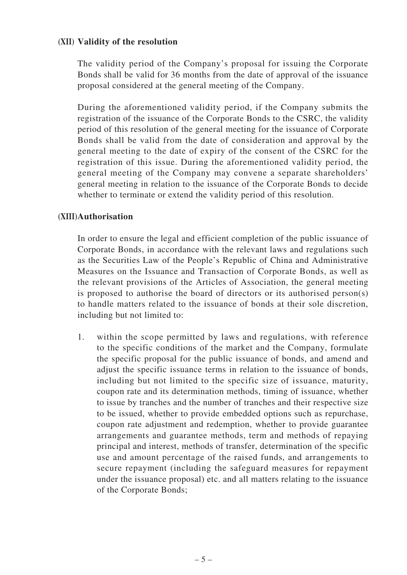#### **(XII) Validity of the resolution**

The validity period of the Company's proposal for issuing the Corporate Bonds shall be valid for 36 months from the date of approval of the issuance proposal considered at the general meeting of the Company.

During the aforementioned validity period, if the Company submits the registration of the issuance of the Corporate Bonds to the CSRC, the validity period of this resolution of the general meeting for the issuance of Corporate Bonds shall be valid from the date of consideration and approval by the general meeting to the date of expiry of the consent of the CSRC for the registration of this issue. During the aforementioned validity period, the general meeting of the Company may convene a separate shareholders' general meeting in relation to the issuance of the Corporate Bonds to decide whether to terminate or extend the validity period of this resolution.

#### **(XIII) Authorisation**

In order to ensure the legal and efficient completion of the public issuance of Corporate Bonds, in accordance with the relevant laws and regulations such as the Securities Law of the People's Republic of China and Administrative Measures on the Issuance and Transaction of Corporate Bonds, as well as the relevant provisions of the Articles of Association, the general meeting is proposed to authorise the board of directors or its authorised person(s) to handle matters related to the issuance of bonds at their sole discretion, including but not limited to:

1. within the scope permitted by laws and regulations, with reference to the specific conditions of the market and the Company, formulate the specific proposal for the public issuance of bonds, and amend and adjust the specific issuance terms in relation to the issuance of bonds, including but not limited to the specific size of issuance, maturity, coupon rate and its determination methods, timing of issuance, whether to issue by tranches and the number of tranches and their respective size to be issued, whether to provide embedded options such as repurchase, coupon rate adjustment and redemption, whether to provide guarantee arrangements and guarantee methods, term and methods of repaying principal and interest, methods of transfer, determination of the specific use and amount percentage of the raised funds, and arrangements to secure repayment (including the safeguard measures for repayment under the issuance proposal) etc. and all matters relating to the issuance of the Corporate Bonds;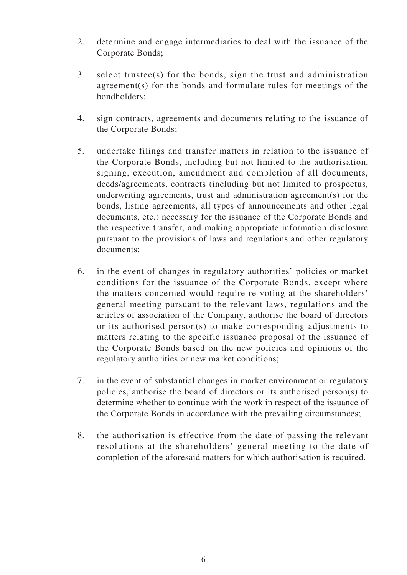- 2. determine and engage intermediaries to deal with the issuance of the Corporate Bonds;
- 3. select trustee(s) for the bonds, sign the trust and administration agreement(s) for the bonds and formulate rules for meetings of the bondholders;
- 4. sign contracts, agreements and documents relating to the issuance of the Corporate Bonds;
- 5. undertake filings and transfer matters in relation to the issuance of the Corporate Bonds, including but not limited to the authorisation, signing, execution, amendment and completion of all documents, deeds/agreements, contracts (including but not limited to prospectus, underwriting agreements, trust and administration agreement(s) for the bonds, listing agreements, all types of announcements and other legal documents, etc.) necessary for the issuance of the Corporate Bonds and the respective transfer, and making appropriate information disclosure pursuant to the provisions of laws and regulations and other regulatory documents;
- 6. in the event of changes in regulatory authorities' policies or market conditions for the issuance of the Corporate Bonds, except where the matters concerned would require re-voting at the shareholders' general meeting pursuant to the relevant laws, regulations and the articles of association of the Company, authorise the board of directors or its authorised person(s) to make corresponding adjustments to matters relating to the specific issuance proposal of the issuance of the Corporate Bonds based on the new policies and opinions of the regulatory authorities or new market conditions;
- 7. in the event of substantial changes in market environment or regulatory policies, authorise the board of directors or its authorised person(s) to determine whether to continue with the work in respect of the issuance of the Corporate Bonds in accordance with the prevailing circumstances;
- 8. the authorisation is effective from the date of passing the relevant resolutions at the shareholders' general meeting to the date of completion of the aforesaid matters for which authorisation is required.